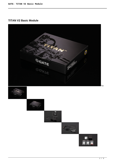# **TITAN V2 Basic Module**

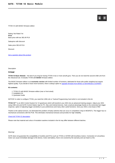

TITAN V2 with BASIC firmware edition

Rating: Not Rated Yet **Price**  Base price with tax 382,40 PLN

Salesprice with discount

Sales price 382,40 PLN

Discount

[Ask a question about this product](https://www.gatee.eu/index.php?option=com_virtuemart&view=productdetails&task=askquestion&virtuemart_product_id=32&virtuemart_category_id=1&tmpl=component)

Description

#### **TITAN**

**TITAN V2 Basic Module** – the best if you long for having TITAN in two or more airsoft guns. Then you do not need the second USB-Link from the Advanced set. It includes TITAN with **BASIC** firmware edition.

The BASIC firmware edition is an **economic version** with limited number of functions, dedicated for those who prefer simplicity but require highest quality. If you decide to have more functions, there is always option to [upgrade firmware from BASIC to ADVANCED or EXPERT.](editions)

## **Kit contents:**

- 1. TITAN V2 with BASIC firmware edition (rear or front wired)
- 2. Installation Kit
- 3. Quickstart Guide

NOTICE! In order to configure TITAN, you need the USB-Link or Tactical Programming Card which is not included in this kit.

**TITAN V2™** is an AEG Control System for V2 gearboxes which will transform your AEG into an advanced training weapon. Adjust your AEG using USB-Link and GATE Control Station App for PC, Mac and Android devices. Gain a tactical advantage thanks to the extremely fast trigger response, option of adjusting trigger sensitivity to your preferences and many other useful functions. Give your AEG a new lease of life!

Thanks to the optical sensors, we eliminated the problem of faulty switches that can occur in competitors' drop-in MOSFETs. The trigger has no mechanical connections with the PCB. This eliminates mechanical stresses and provides for high reliability.

### [Check full TITAN V2 description](products/titan)

Please note that material and colour of insulation washers included in the kit may differ between different batches.

#### Warning!

GATE does not guarantee the compatibility of mosfets and ETUs such as TITAN or ASTER with brushless motors. Connection of a brushless motor can cause immediate damage to the device, motor and battery, that is not covered by the warranty and can lead to a fire.